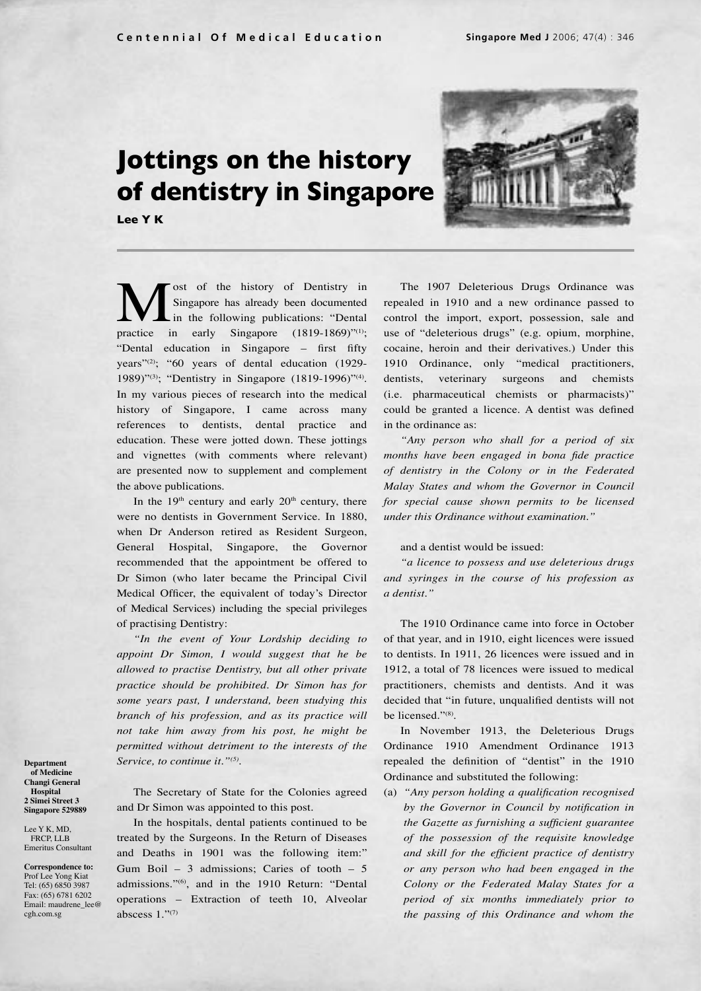# **Jottings on the history of dentistry in Singapore**

**Lee Y K**



**M** ost of the history of Dentistry in Singapore has already been documented in the following publications: "Dental practice in early Singapore (1819-1869)"<sup>(1)</sup>; Singapore has already been documented in the following publications: "Dental "Dental education in Singapore – first fifty years"(2); "60 years of dental education (1929- 1989)"(3); "Dentistry in Singapore (1819-1996)"(4). In my various pieces of research into the medical history of Singapore, I came across many references to dentists, dental practice and education. These were jotted down. These jottings and vignettes (with comments where relevant) are presented now to supplement and complement the above publications.

In the  $19<sup>th</sup>$  century and early  $20<sup>th</sup>$  century, there were no dentists in Government Service. In 1880, when Dr Anderson retired as Resident Surgeon, General Hospital, Singapore, the Governor recommended that the appointment be offered to Dr Simon (who later became the Principal Civil Medical Officer, the equivalent of today's Director of Medical Services) including the special privileges of practising Dentistry:

*"In the event of Your Lordship deciding to appoint Dr Simon, I would suggest that he be allowed to practise Dentistry, but all other private practice should be prohibited. Dr Simon has for some years past, I understand, been studying this branch of his profession, and as its practice will not take him away from his post, he might be permitted without detriment to the interests of the Service, to continue it."(5).*

The Secretary of State for the Colonies agreed and Dr Simon was appointed to this post.

**Department of Medicine Changi General Hospital 2 Simei Street 3 Singapore 529889** Lee Y K, MD, FRCP, LLB Emeritus Consultant **Correspondence to:** Prof Lee Yong Kiat Tel: (65) 6850 3987 Fax: (65) 6781 6202 Email: maudrene\_lee@ cgh.com.sg

In the hospitals, dental patients continued to be treated by the Surgeons. In the Return of Diseases and Deaths in 1901 was the following item:" Gum Boil – 3 admissions; Caries of tooth – 5 admissions."(6), and in the 1910 Return: "Dental operations – Extraction of teeth 10, Alveolar abscess  $1.^{\cdot\cdot\cdot(7)}$ 

The 1907 Deleterious Drugs Ordinance was repealed in 1910 and a new ordinance passed to control the import, export, possession, sale and use of "deleterious drugs" (e.g. opium, morphine, cocaine, heroin and their derivatives.) Under this 1910 Ordinance, only "medical practitioners, dentists, veterinary surgeons and chemists (i.e. pharmaceutical chemists or pharmacists)" could be granted a licence. A dentist was defined in the ordinance as:

*"Any person who shall for a period of six months have been engaged in bona fide practice of dentistry in the Colony or in the Federated Malay States and whom the Governor in Council for special cause shown permits to be licensed under this Ordinance without examination."*

# and a dentist would be issued:

*"a licence to possess and use deleterious drugs and syringes in the course of his profession as a dentist."*

The 1910 Ordinance came into force in October of that year, and in 1910, eight licences were issued to dentists. In 1911, 26 licences were issued and in 1912, a total of 78 licences were issued to medical practitioners, chemists and dentists. And it was decided that "in future, unqualified dentists will not be licensed."<sup>(8)</sup>.

In November 1913, the Deleterious Drugs Ordinance 1910 Amendment Ordinance 1913 repealed the definition of "dentist" in the 1910 Ordinance and substituted the following:

(a) *"Any person holding a qualification recognised by the Governor in Council by notification in the Gazette as furnishing a sufficient guarantee of the possession of the requisite knowledge and skill for the efficient practice of dentistry or any person who had been engaged in the Colony or the Federated Malay States for a period of six months immediately prior to the passing of this Ordinance and whom the*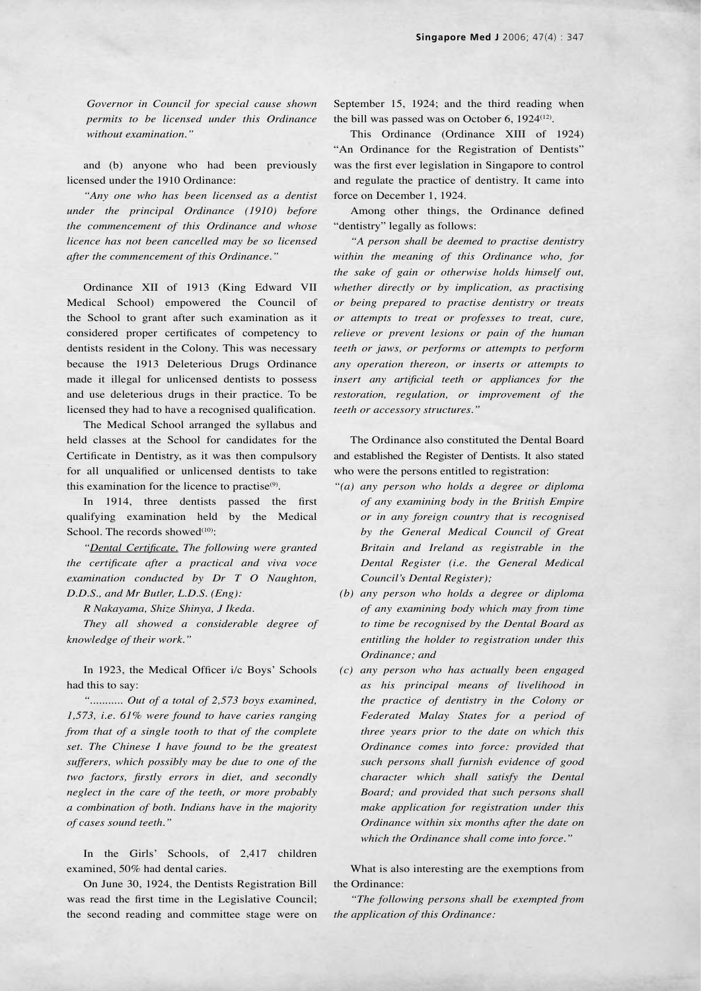*Governor in Council for special cause shown permits to be licensed under this Ordinance without examination."*

and (b) anyone who had been previously licensed under the 1910 Ordinance:

*"Any one who has been licensed as a dentist under the principal Ordinance (1910) before the commencement of this Ordinance and whose licence has not been cancelled may be so licensed after the commencement of this Ordinance."*

Ordinance XII of 1913 (King Edward VII Medical School) empowered the Council of the School to grant after such examination as it considered proper certificates of competency to dentists resident in the Colony. This was necessary because the 1913 Deleterious Drugs Ordinance made it illegal for unlicensed dentists to possess and use deleterious drugs in their practice. To be licensed they had to have a recognised qualification.

The Medical School arranged the syllabus and held classes at the School for candidates for the Certificate in Dentistry, as it was then compulsory for all unqualified or unlicensed dentists to take this examination for the licence to practise $(9)$ .

In 1914, three dentists passed the first qualifying examination held by the Medical School. The records showed $(10)$ :

*"Dental Certificate. The following were granted the certificate after a practical and viva voce examination conducted by Dr T O Naughton, D.D.S., and Mr Butler, L.D.S. (Eng):*

*R Nakayama, Shize Shinya, J Ikeda.*

*They all showed a considerable degree of knowledge of their work."* 

In 1923, the Medical Officer i/c Boys' Schools had this to say:

*"........... Out of a total of 2,573 boys examined, 1,573, i.e. 61% were found to have caries ranging from that of a single tooth to that of the complete set. The Chinese I have found to be the greatest sufferers, which possibly may be due to one of the two factors, firstly errors in diet, and secondly neglect in the care of the teeth, or more probably a combination of both. Indians have in the majority of cases sound teeth."*

In the Girls' Schools, of 2,417 children examined, 50% had dental caries.

On June 30, 1924, the Dentists Registration Bill was read the first time in the Legislative Council; the second reading and committee stage were on September 15, 1924; and the third reading when the bill was passed was on October 6,  $1924^{(12)}$ .

This Ordinance (Ordinance XIII of 1924) "An Ordinance for the Registration of Dentists" was the first ever legislation in Singapore to control and regulate the practice of dentistry. It came into force on December 1, 1924.

Among other things, the Ordinance defined "dentistry" legally as follows:

*"A person shall be deemed to practise dentistry within the meaning of this Ordinance who, for the sake of gain or otherwise holds himself out, whether directly or by implication, as practising or being prepared to practise dentistry or treats or attempts to treat or professes to treat, cure, relieve or prevent lesions or pain of the human teeth or jaws, or performs or attempts to perform any operation thereon, or inserts or attempts to insert any artificial teeth or appliances for the restoration, regulation, or improvement of the teeth or accessory structures."*

The Ordinance also constituted the Dental Board and established the Register of Dentists. It also stated who were the persons entitled to registration:

- *"(a) any person who holds a degree or diploma of any examining body in the British Empire or in any foreign country that is recognised by the General Medical Council of Great Britain and Ireland as registrable in the Dental Register (i.e. the General Medical Council's Dental Register);*
- *(b) any person who holds a degree or diploma of any examining body which may from time to time be recognised by the Dental Board as entitling the holder to registration under this Ordinance; and*
- *(c) any person who has actually been engaged as his principal means of livelihood in the practice of dentistry in the Colony or Federated Malay States for a period of three years prior to the date on which this Ordinance comes into force: provided that such persons shall furnish evidence of good character which shall satisfy the Dental Board; and provided that such persons shall make application for registration under this Ordinance within six months after the date on which the Ordinance shall come into force."*

What is also interesting are the exemptions from the Ordinance:

*"The following persons shall be exempted from the application of this Ordinance:*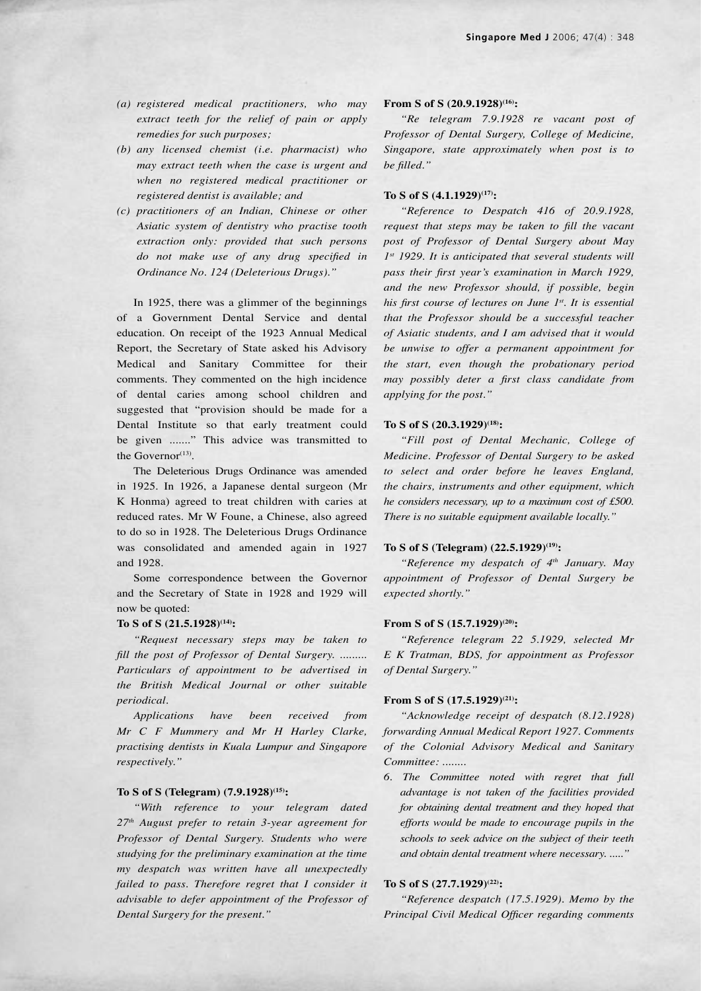- *(a) registered medical practitioners, who may extract teeth for the relief of pain or apply remedies for such purposes;*
- *(b) any licensed chemist (i.e. pharmacist) who may extract teeth when the case is urgent and when no registered medical practitioner or registered dentist is available; and*
- *(c) practitioners of an Indian, Chinese or other Asiatic system of dentistry who practise tooth extraction only: provided that such persons do not make use of any drug specified in Ordinance No. 124 (Deleterious Drugs)."*

In 1925, there was a glimmer of the beginnings of a Government Dental Service and dental education. On receipt of the 1923 Annual Medical Report, the Secretary of State asked his Advisory Medical and Sanitary Committee for their comments. They commented on the high incidence of dental caries among school children and suggested that "provision should be made for a Dental Institute so that early treatment could be given ......." This advice was transmitted to the Governor<sup>(13)</sup>.

The Deleterious Drugs Ordinance was amended in 1925. In 1926, a Japanese dental surgeon (Mr K Honma) agreed to treat children with caries at reduced rates. Mr W Foune, a Chinese, also agreed to do so in 1928. The Deleterious Drugs Ordinance was consolidated and amended again in 1927 and 1928.

Some correspondence between the Governor and the Secretary of State in 1928 and 1929 will now be quoted:

## To S of S  $(21.5.1928)^{(14)}$ :

*"Request necessary steps may be taken to fill the post of Professor of Dental Surgery. ......... Particulars of appointment to be advertised in the British Medical Journal or other suitable periodical.*

*Applications have been received from Mr C F Mummery and Mr H Harley Clarke, practising dentists in Kuala Lumpur and Singapore respectively."*

# **To S of S (Telegram) (7.9.1928)(15):**

*"With reference to your telegram dated 27th August prefer to retain 3-year agreement for Professor of Dental Surgery. Students who were studying for the preliminary examination at the time my despatch was written have all unexpectedly*  failed to pass. Therefore regret that I consider it *advisable to defer appointment of the Professor of Dental Surgery for the present."*

# **From S of S (20.9.1928)(16):**

*"Re telegram 7.9.1928 re vacant post of Professor of Dental Surgery, College of Medicine, Singapore, state approximately when post is to be filled."*

# **To S of S (4.1.1929)(17):**

*"Reference to Despatch 416 of 20.9.1928, request that steps may be taken to fill the vacant post of Professor of Dental Surgery about May 1st 1929. It is anticipated that several students will pass their first year's examination in March 1929, and the new Professor should, if possible, begin his first course of lectures on June 1st. It is essential that the Professor should be a successful teacher of Asiatic students, and I am advised that it would be unwise to offer a permanent appointment for the start, even though the probationary period may possibly deter a first class candidate from applying for the post."*

#### **To S of S (20.3.1929)(18):**

*"Fill post of Dental Mechanic, College of Medicine. Professor of Dental Surgery to be asked to select and order before he leaves England, the chairs, instruments and other equipment, which he considers necessary, up to a maximum cost of £500. There is no suitable equipment available locally."*

# **To S of S (Telegram) (22.5.1929)(19):**

*"Reference my despatch of 4th January. May appointment of Professor of Dental Surgery be expected shortly."*

## **From S of S (15.7.1929)(20):**

*"Reference telegram 22 5.1929, selected Mr E K Tratman, BDS, for appointment as Professor of Dental Surgery."*

## From S of S  $(17.5.1929)^{(21)}$ :

*"Acknowledge receipt of despatch (8.12.1928) forwarding Annual Medical Report 1927. Comments of the Colonial Advisory Medical and Sanitary Committee: ........*

*6. The Committee noted with regret that full advantage is not taken of the facilities provided for obtaining dental treatment and they hoped that efforts would be made to encourage pupils in the schools to seek advice on the subject of their teeth and obtain dental treatment where necessary. ....."*

# **To S of S (27.7.1929)(22):**

*"Reference despatch (17.5.1929). Memo by the Principal Civil Medical Officer regarding comments*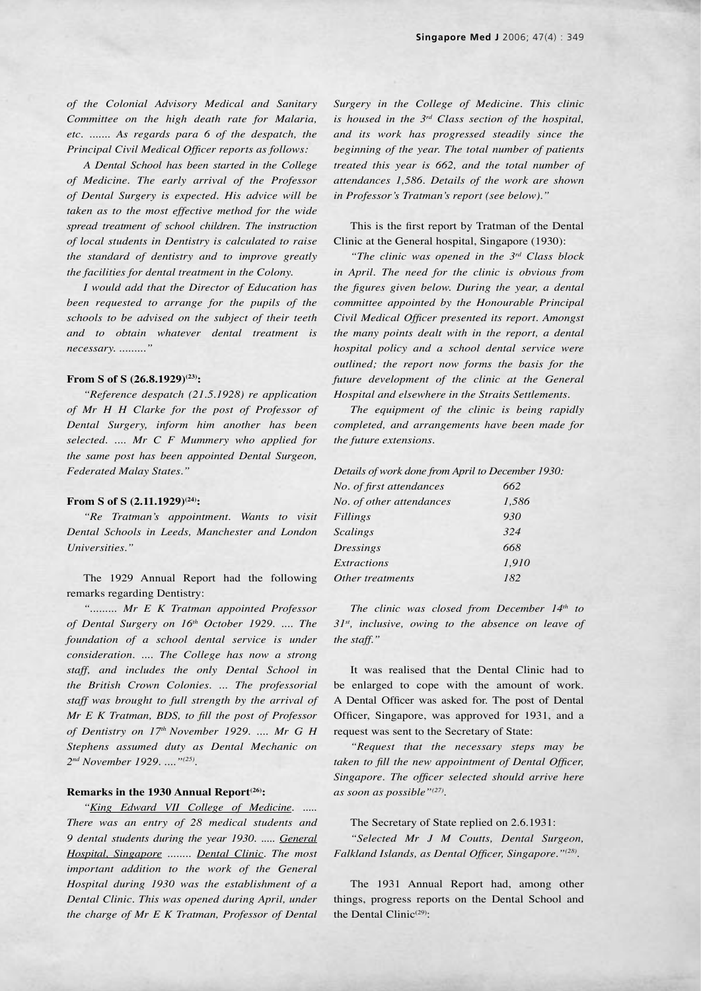*of the Colonial Advisory Medical and Sanitary Committee on the high death rate for Malaria, etc. ....... As regards para 6 of the despatch, the Principal Civil Medical Officer reports as follows:*

*A Dental School has been started in the College of Medicine. The early arrival of the Professor of Dental Surgery is expected. His advice will be taken as to the most effective method for the wide spread treatment of school children. The instruction of local students in Dentistry is calculated to raise the standard of dentistry and to improve greatly the facilities for dental treatment in the Colony.*

*I would add that the Director of Education has been requested to arrange for the pupils of the schools to be advised on the subject of their teeth and to obtain whatever dental treatment is necessary. ........."*

# From S of S  $(26.8.1929)^{(23)}$ :

*"Reference despatch (21.5.1928) re application of Mr H H Clarke for the post of Professor of Dental Surgery, inform him another has been selected. .... Mr C F Mummery who applied for the same post has been appointed Dental Surgeon, Federated Malay States."*

#### **From S of S (2.11.1929)**<sup>(24)</sup>:

*"Re Tratman's appointment. Wants to visit Dental Schools in Leeds, Manchester and London Universities."*

The 1929 Annual Report had the following remarks regarding Dentistry:

*"......... Mr E K Tratman appointed Professor*  of Dental Surgery on 16<sup>th</sup> October 1929. .... The *foundation of a school dental service is under consideration. .... The College has now a strong staff, and includes the only Dental School in the British Crown Colonies. ... The professorial staff was brought to full strength by the arrival of Mr E K Tratman, BDS, to fill the post of Professor of Dentistry on 17th November 1929. .... Mr G H Stephens assumed duty as Dental Mechanic on 2nd November 1929. ...."(25).*

# **Remarks in the 1930 Annual Report(26):**

*"King Edward VII College of Medicine. ..... There was an entry of 28 medical students and 9 dental students during the year 1930. ..... General Hospital, Singapore ........ Dental Clinic. The most important addition to the work of the General Hospital during 1930 was the establishment of a Dental Clinic. This was opened during April, under the charge of Mr E K Tratman, Professor of Dental*  *Surgery in the College of Medicine. This clinic is housed in the 3rd Class section of the hospital, and its work has progressed steadily since the beginning of the year. The total number of patients treated this year is 662, and the total number of attendances 1,586. Details of the work are shown in Professor's Tratman's report (see below)."*

This is the first report by Tratman of the Dental Clinic at the General hospital, Singapore (1930):

*"The clinic was opened in the 3rd Class block in April. The need for the clinic is obvious from the figures given below. During the year, a dental committee appointed by the Honourable Principal Civil Medical Officer presented its report. Amongst the many points dealt with in the report, a dental hospital policy and a school dental service were outlined; the report now forms the basis for the future development of the clinic at the General Hospital and elsewhere in the Straits Settlements.*

*The equipment of the clinic is being rapidly completed, and arrangements have been made for the future extensions.*

| Details of work done from April to December 1930: |       |
|---------------------------------------------------|-------|
| No. of first attendances                          | 662   |
| No. of other attendances                          | 1,586 |
| <b>Fillings</b>                                   | 930   |
| <b>Scalings</b>                                   | 324   |
| <b>Dressings</b>                                  | 668   |
| <b>Extractions</b>                                | 1.910 |
| Other treatments                                  | 182   |
|                                                   |       |

*The clinic was closed from December 14th to 31st, inclusive, owing to the absence on leave of the staff."*

It was realised that the Dental Clinic had to be enlarged to cope with the amount of work. A Dental Officer was asked for. The post of Dental Officer, Singapore, was approved for 1931, and a request was sent to the Secretary of State:

*"Request that the necessary steps may be taken to fill the new appointment of Dental Officer, Singapore. The officer selected should arrive here as soon as possible"(27).*

The Secretary of State replied on 2.6.1931:

*"Selected Mr J M Coutts, Dental Surgeon, Falkland Islands, as Dental Officer, Singapore."(28).*

The 1931 Annual Report had, among other things, progress reports on the Dental School and the Dental Clinic<sup> $(29)$ </sup>: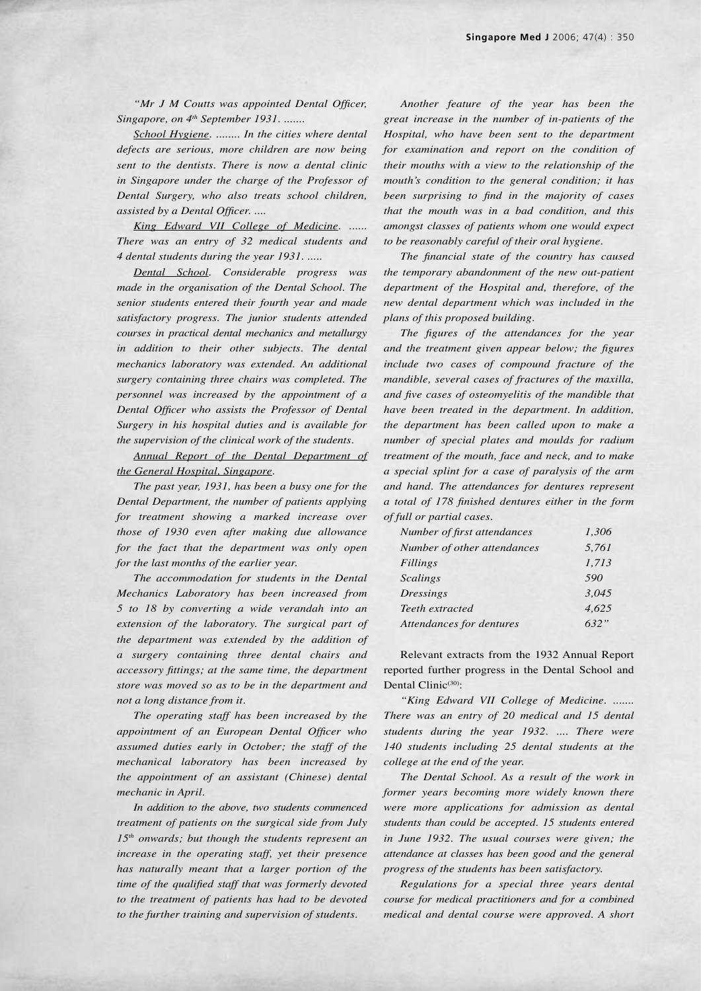*"Mr J M Coutts was appointed Dental Officer, Singapore, on 4th September 1931. .......*

*School Hygiene. ........ In the cities where dental defects are serious, more children are now being sent to the dentists. There is now a dental clinic in Singapore under the charge of the Professor of Dental Surgery, who also treats school children, assisted by a Dental Officer. ....*

*King Edward VII College of Medicine. ...... There was an entry of 32 medical students and 4 dental students during the year 1931. .....*

*Dental School. Considerable progress was made in the organisation of the Dental School. The senior students entered their fourth year and made satisfactory progress. The junior students attended courses in practical dental mechanics and metallurgy in addition to their other subjects. The dental mechanics laboratory was extended. An additional surgery containing three chairs was completed. The personnel was increased by the appointment of a Dental Officer who assists the Professor of Dental Surgery in his hospital duties and is available for the supervision of the clinical work of the students.*

*Annual Report of the Dental Department of the General Hospital, Singapore.*

*The past year, 1931, has been a busy one for the Dental Department, the number of patients applying for treatment showing a marked increase over those of 1930 even after making due allowance for the fact that the department was only open for the last months of the earlier year.*

*The accommodation for students in the Dental Mechanics Laboratory has been increased from 5 to 18 by converting a wide verandah into an extension of the laboratory. The surgical part of the department was extended by the addition of a surgery containing three dental chairs and accessory fittings; at the same time, the department store was moved so as to be in the department and not a long distance from it.*

*The operating staff has been increased by the appointment of an European Dental Officer who assumed duties early in October; the staff of the mechanical laboratory has been increased by the appointment of an assistant (Chinese) dental mechanic in April.*

*In addition to the above, two students commenced treatment of patients on the surgical side from July 15th onwards; but though the students represent an increase in the operating staff, yet their presence has naturally meant that a larger portion of the time of the qualified staff that was formerly devoted to the treatment of patients has had to be devoted to the further training and supervision of students.*

*Another feature of the year has been the great increase in the number of in-patients of the Hospital, who have been sent to the department for examination and report on the condition of their mouths with a view to the relationship of the mouth's condition to the general condition; it has been surprising to find in the majority of cases that the mouth was in a bad condition, and this amongst classes of patients whom one would expect to be reasonably careful of their oral hygiene.*

*The financial state of the country has caused the temporary abandonment of the new out-patient department of the Hospital and, therefore, of the new dental department which was included in the plans of this proposed building.*

*The figures of the attendances for the year and the treatment given appear below; the figures include two cases of compound fracture of the mandible, several cases of fractures of the maxilla, and five cases of osteomyelitis of the mandible that have been treated in the department. In addition, the department has been called upon to make a number of special plates and moulds for radium treatment of the mouth, face and neck, and to make a special splint for a case of paralysis of the arm and hand. The attendances for dentures represent a total of 178 finished dentures either in the form of full or partial cases.*

| Number of first attendances | 1,306 |
|-----------------------------|-------|
| Number of other attendances | 5,761 |
| <b>Fillings</b>             | 1,713 |
| <b>Scalings</b>             | 590   |
| <b>Dressings</b>            | 3,045 |
| Teeth extracted             | 4,625 |
| Attendances for dentures    | 632"  |

Relevant extracts from the 1932 Annual Report reported further progress in the Dental School and Dental Clinic<sup>(30)</sup>:

*"King Edward VII College of Medicine. ....... There was an entry of 20 medical and 15 dental students during the year 1932. .... There were 140 students including 25 dental students at the college at the end of the year.*

*The Dental School. As a result of the work in former years becoming more widely known there were more applications for admission as dental students than could be accepted. 15 students entered in June 1932. The usual courses were given; the attendance at classes has been good and the general progress of the students has been satisfactory.*

*Regulations for a special three years dental course for medical practitioners and for a combined medical and dental course were approved. A short*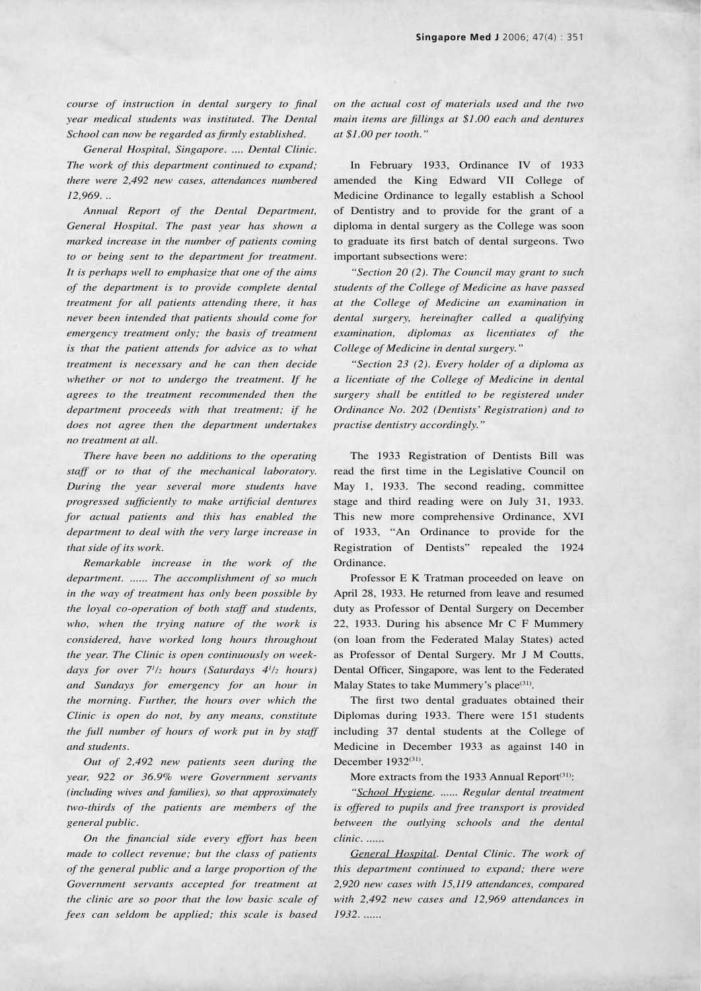*course of instruction in dental surgery to final year medical students was instituted. The Dental School can now be regarded as firmly established.*

*General Hospital, Singapore. .... Dental Clinic. The work of this department continued to expand; there were 2,492 new cases, attendances numbered 12,969. ..*

*Annual Report of the Dental Department, General Hospital. The past year has shown a marked increase in the number of patients coming to or being sent to the department for treatment. It is perhaps well to emphasize that one of the aims of the department is to provide complete dental treatment for all patients attending there, it has never been intended that patients should come for emergency treatment only; the basis of treatment is that the patient attends for advice as to what treatment is necessary and he can then decide whether or not to undergo the treatment. If he agrees to the treatment recommended then the department proceeds with that treatment; if he does not agree then the department undertakes no treatment at all.*

*There have been no additions to the operating staff or to that of the mechanical laboratory. During the year several more students have progressed sufficiently to make artificial dentures for actual patients and this has enabled the department to deal with the very large increase in that side of its work.*

*Remarkable increase in the work of the department. ...... The accomplishment of so much in the way of treatment has only been possible by the loyal co-operation of both staff and students, who, when the trying nature of the work is considered, have worked long hours throughout the year. The Clinic is open continuously on week*days for over  $7^{1/2}$  hours (Saturdays  $4^{1/2}$  hours) *and Sundays for emergency for an hour in the morning. Further, the hours over which the Clinic is open do not, by any means, constitute the full number of hours of work put in by staff and students.*

*Out of 2,492 new patients seen during the year, 922 or 36.9% were Government servants (including wives and families), so that approximately two-thirds of the patients are members of the general public.*

*On the financial side every effort has been made to collect revenue; but the class of patients of the general public and a large proportion of the Government servants accepted for treatment at the clinic are so poor that the low basic scale of fees can seldom be applied; this scale is based*  *on the actual cost of materials used and the two main items are fillings at \$1.00 each and dentures at \$1.00 per tooth."*

In February 1933, Ordinance IV of 1933 amended the King Edward VII College of Medicine Ordinance to legally establish a School of Dentistry and to provide for the grant of a diploma in dental surgery as the College was soon to graduate its first batch of dental surgeons. Two important subsections were:

*"Section 20 (2). The Council may grant to such students of the College of Medicine as have passed at the College of Medicine an examination in dental surgery, hereinafter called a qualifying examination, diplomas as licentiates of the College of Medicine in dental surgery."*

*"Section 23 (2). Every holder of a diploma as a licentiate of the College of Medicine in dental surgery shall be entitled to be registered under Ordinance No. 202 (Dentists' Registration) and to practise dentistry accordingly."*

The 1933 Registration of Dentists Bill was read the first time in the Legislative Council on May 1, 1933. The second reading, committee stage and third reading were on July 31, 1933. This new more comprehensive Ordinance, XVI of 1933, "An Ordinance to provide for the Registration of Dentists" repealed the 1924 Ordinance.

Professor E K Tratman proceeded on leave on April 28, 1933. He returned from leave and resumed duty as Professor of Dental Surgery on December 22, 1933. During his absence Mr C F Mummery (on loan from the Federated Malay States) acted as Professor of Dental Surgery. Mr J M Coutts, Dental Officer, Singapore, was lent to the Federated Malay States to take Mummery's place<sup>(31)</sup>.

The first two dental graduates obtained their Diplomas during 1933. There were 151 students including 37 dental students at the College of Medicine in December 1933 as against 140 in December 1932(31).

More extracts from the 1933 Annual Report<sup>(31)</sup>:

*"School Hygiene. ...... Regular dental treatment is offered to pupils and free transport is provided between the outlying schools and the dental clinic. ......*

*General Hospital. Dental Clinic. The work of this department continued to expand; there were 2,920 new cases with 15,119 attendances, compared with 2,492 new cases and 12,969 attendances in 1932. ......*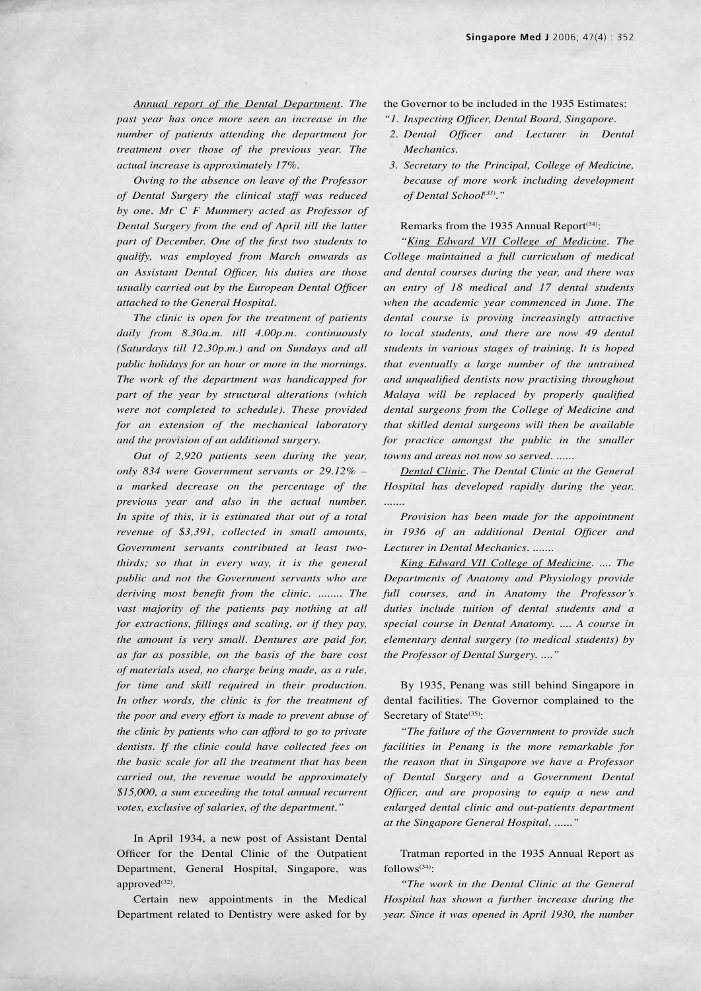*Annual report of the Dental Department. The past year has once more seen an increase in the number of patients attending the department for treatment over those of the previous year. The actual increase is approximately 17%.*

*Owing to the absence on leave of the Professor of Dental Surgery the clinical staff was reduced by one. Mr C F Mummery acted as Professor of Dental Surgery from the end of April till the latter part of December. One of the first two students to qualify, was employed from March onwards as an Assistant Dental Officer, his duties are those usually carried out by the European Dental Officer attached to the General Hospital.*

*The clinic is open for the treatment of patients daily from 8.30a.m. till 4.00p.m. continuously (Saturdays till 12.30p.m.) and on Sundays and all public holidays for an hour or more in the mornings. The work of the department was handicapped for part of the year by structural alterations (which were not completed to schedule). These provided for an extension of the mechanical laboratory and the provision of an additional surgery.*

*Out of 2,920 patients seen during the year, only 834 were Government servants or 29.12% – a marked decrease on the percentage of the previous year and also in the actual number. In spite of this, it is estimated that out of a total revenue of \$3,391, collected in small amounts, Government servants contributed at least twothirds; so that in every way, it is the general public and not the Government servants who are deriving most benefit from the clinic. ........ The vast majority of the patients pay nothing at all for extractions, fillings and scaling, or if they pay, the amount is very small. Dentures are paid for, as far as possible, on the basis of the bare cost of materials used, no charge being made, as a rule, for time and skill required in their production. In other words, the clinic is for the treatment of the poor and every effort is made to prevent abuse of the clinic by patients who can afford to go to private dentists. If the clinic could have collected fees on the basic scale for all the treatment that has been carried out, the revenue would be approximately \$15,000, a sum exceeding the total annual recurrent votes, exclusive of salaries, of the department."*

In April 1934, a new post of Assistant Dental Officer for the Dental Clinic of the Outpatient Department, General Hospital, Singapore, was approved<sup>(32)</sup>.

Certain new appointments in the Medical Department related to Dentistry were asked for by

- the Governor to be included in the 1935 Estimates:
- *"1. Inspecting Officer, Dental Board, Singapore.*
- *2. Dental Officer and Lecturer in Dental Mechanics.*
- *3. Secretary to the Principal, College of Medicine, because of more work including development of Dental School(33)."*

## Remarks from the 1935 Annual Report<sup>(34)</sup>:

*"King Edward VII College of Medicine. The College maintained a full curriculum of medical and dental courses during the year, and there was an entry of 18 medical and 17 dental students when the academic year commenced in June. The dental course is proving increasingly attractive to local students, and there are now 49 dental students in various stages of training. It is hoped that eventually a large number of the untrained and unqualified dentists now practising throughout Malaya will be replaced by properly qualified dental surgeons from the College of Medicine and that skilled dental surgeons will then be available*  for practice amongst the public in the smaller *towns and areas not now so served. ......*

*Dental Clinic. The Dental Clinic at the General Hospital has developed rapidly during the year. .......*

*Provision has been made for the appointment in 1936 of an additional Dental Officer and Lecturer in Dental Mechanics. .......*

*King Edward VII College of Medicine. .... The Departments of Anatomy and Physiology provide full courses, and in Anatomy the Professor's duties include tuition of dental students and a special course in Dental Anatomy. .... A course in elementary dental surgery (to medical students) by the Professor of Dental Surgery. ...."*

By 1935, Penang was still behind Singapore in dental facilities. The Governor complained to the Secretary of State<sup>(35)</sup>:

*"The failure of the Government to provide such facilities in Penang is the more remarkable for the reason that in Singapore we have a Professor of Dental Surgery and a Government Dental Officer, and are proposing to equip a new and enlarged dental clinic and out-patients department at the Singapore General Hospital. ......"*

Tratman reported in the 1935 Annual Report as follows(34):

*"The work in the Dental Clinic at the General Hospital has shown a further increase during the year. Since it was opened in April 1930, the number*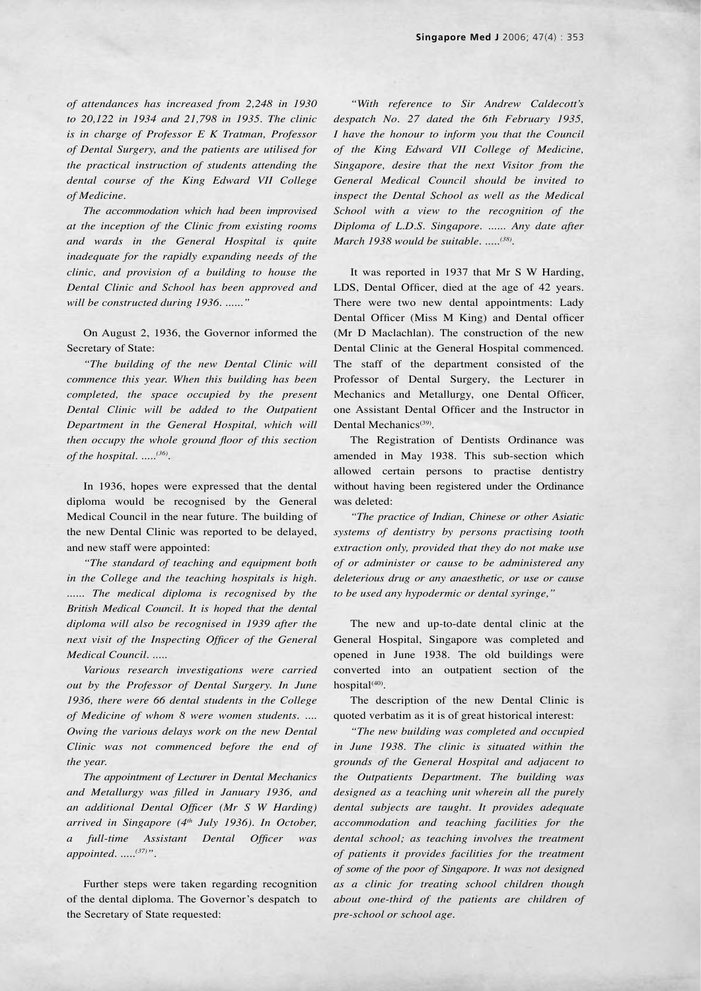*of attendances has increased from 2,248 in 1930 to 20,122 in 1934 and 21,798 in 1935. The clinic is in charge of Professor E K Tratman, Professor of Dental Surgery, and the patients are utilised for the practical instruction of students attending the dental course of the King Edward VII College of Medicine.*

*The accommodation which had been improvised at the inception of the Clinic from existing rooms and wards in the General Hospital is quite inadequate for the rapidly expanding needs of the clinic, and provision of a building to house the Dental Clinic and School has been approved and will be constructed during 1936. ......"*

On August 2, 1936, the Governor informed the Secretary of State:

*"The building of the new Dental Clinic will commence this year. When this building has been completed, the space occupied by the present Dental Clinic will be added to the Outpatient Department in the General Hospital, which will then occupy the whole ground floor of this section of the hospital. .....(36).*

In 1936, hopes were expressed that the dental diploma would be recognised by the General Medical Council in the near future. The building of the new Dental Clinic was reported to be delayed, and new staff were appointed:

*"The standard of teaching and equipment both in the College and the teaching hospitals is high.*  ...... The medical diploma is recognised by the *British Medical Council. It is hoped that the dental diploma will also be recognised in 1939 after the next visit of the Inspecting Officer of the General Medical Council. .....*

*Various research investigations were carried out by the Professor of Dental Surgery. In June 1936, there were 66 dental students in the College of Medicine of whom 8 were women students. .... Owing the various delays work on the new Dental Clinic was not commenced before the end of the year.*

*The appointment of Lecturer in Dental Mechanics and Metallurgy was filled in January 1936, and an additional Dental Officer (Mr S W Harding) arrived in Singapore (4th July 1936). In October, a full-time Assistant Dental Officer was appointed. .....(37)".*

Further steps were taken regarding recognition of the dental diploma. The Governor's despatch to the Secretary of State requested:

*"With reference to Sir Andrew Caldecott's despatch No. 27 dated the 6th February 1935, I have the honour to inform you that the Council of the King Edward VII College of Medicine, Singapore, desire that the next Visitor from the General Medical Council should be invited to inspect the Dental School as well as the Medical School with a view to the recognition of the Diploma of L.D.S. Singapore. ...... Any date after March 1938 would be suitable. .....(38).*

It was reported in 1937 that Mr S W Harding, LDS, Dental Officer, died at the age of 42 years. There were two new dental appointments: Lady Dental Officer (Miss M King) and Dental officer (Mr D Maclachlan). The construction of the new Dental Clinic at the General Hospital commenced. The staff of the department consisted of the Professor of Dental Surgery, the Lecturer in Mechanics and Metallurgy, one Dental Officer, one Assistant Dental Officer and the Instructor in Dental Mechanics<sup>(39)</sup>.

The Registration of Dentists Ordinance was amended in May 1938. This sub-section which allowed certain persons to practise dentistry without having been registered under the Ordinance was deleted:

*"The practice of Indian, Chinese or other Asiatic systems of dentistry by persons practising tooth extraction only, provided that they do not make use of or administer or cause to be administered any deleterious drug or any anaesthetic, or use or cause to be used any hypodermic or dental syringe,"*

The new and up-to-date dental clinic at the General Hospital, Singapore was completed and opened in June 1938. The old buildings were converted into an outpatient section of the hospital $(40)$ .

The description of the new Dental Clinic is quoted verbatim as it is of great historical interest:

*"The new building was completed and occupied in June 1938. The clinic is situated within the grounds of the General Hospital and adjacent to the Outpatients Department. The building was designed as a teaching unit wherein all the purely dental subjects are taught. It provides adequate accommodation and teaching facilities for the dental school; as teaching involves the treatment of patients it provides facilities for the treatment of some of the poor of Singapore. It was not designed as a clinic for treating school children though about one-third of the patients are children of pre-school or school age.*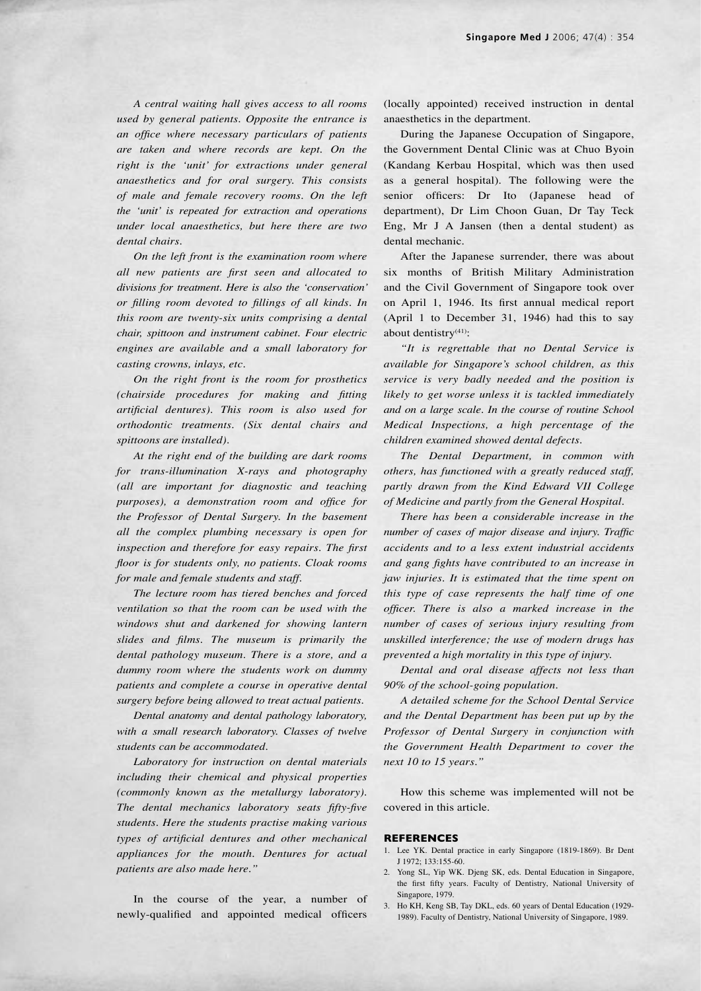*A central waiting hall gives access to all rooms used by general patients. Opposite the entrance is an office where necessary particulars of patients are taken and where records are kept. On the right is the ʻunit' for extractions under general anaesthetics and for oral surgery. This consists of male and female recovery rooms. On the left the ʻunit' is repeated for extraction and operations under local anaesthetics, but here there are two dental chairs.*

*On the left front is the examination room where all new patients are first seen and allocated to divisions for treatment. Here is also the ʻconservation' or filling room devoted to fillings of all kinds. In this room are twenty-six units comprising a dental chair, spittoon and instrument cabinet. Four electric engines are available and a small laboratory for casting crowns, inlays, etc.*

*On the right front is the room for prosthetics (chairside procedures for making and fitting artificial dentures). This room is also used for orthodontic treatments. (Six dental chairs and spittoons are installed).*

*At the right end of the building are dark rooms for trans-illumination X-rays and photography (all are important for diagnostic and teaching purposes), a demonstration room and office for the Professor of Dental Surgery. In the basement all the complex plumbing necessary is open for inspection and therefore for easy repairs. The first floor is for students only, no patients. Cloak rooms for male and female students and staff.*

*The lecture room has tiered benches and forced ventilation so that the room can be used with the windows shut and darkened for showing lantern slides and films. The museum is primarily the dental pathology museum. There is a store, and a dummy room where the students work on dummy patients and complete a course in operative dental surgery before being allowed to treat actual patients.*

*Dental anatomy and dental pathology laboratory, with a small research laboratory. Classes of twelve students can be accommodated.*

*Laboratory for instruction on dental materials including their chemical and physical properties (commonly known as the metallurgy laboratory). The dental mechanics laboratory seats fifty-five students. Here the students practise making various types of artificial dentures and other mechanical appliances for the mouth. Dentures for actual patients are also made here."*

In the course of the year, a number of newly-qualified and appointed medical officers (locally appointed) received instruction in dental anaesthetics in the department.

During the Japanese Occupation of Singapore, the Government Dental Clinic was at Chuo Byoin (Kandang Kerbau Hospital, which was then used as a general hospital). The following were the senior officers: Dr Ito (Japanese head of department), Dr Lim Choon Guan, Dr Tay Teck Eng, Mr J A Jansen (then a dental student) as dental mechanic.

After the Japanese surrender, there was about six months of British Military Administration and the Civil Government of Singapore took over on April 1, 1946. Its first annual medical report (April 1 to December 31, 1946) had this to say about dentistry<sup>(41)</sup>:

*"It is regrettable that no Dental Service is available for Singapore's school children, as this service is very badly needed and the position is likely to get worse unless it is tackled immediately and on a large scale. In the course of routine School Medical Inspections, a high percentage of the children examined showed dental defects.*

*The Dental Department, in common with others, has functioned with a greatly reduced staff, partly drawn from the Kind Edward VII College of Medicine and partly from the General Hospital.*

*There has been a considerable increase in the number of cases of major disease and injury. Traffic accidents and to a less extent industrial accidents and gang fights have contributed to an increase in jaw injuries. It is estimated that the time spent on this type of case represents the half time of one officer. There is also a marked increase in the number of cases of serious injury resulting from unskilled interference; the use of modern drugs has prevented a high mortality in this type of injury.*

*Dental and oral disease affects not less than 90% of the school-going population.*

*A detailed scheme for the School Dental Service and the Dental Department has been put up by the Professor of Dental Surgery in conjunction with the Government Health Department to cover the next 10 to 15 years."*

How this scheme was implemented will not be covered in this article.

#### **REFERENCES**

- 1. Lee YK. Dental practice in early Singapore (1819-1869). Br Dent J 1972; 133:155-60.
- 2. Yong SL, Yip WK. Djeng SK, eds. Dental Education in Singapore, the first fifty years. Faculty of Dentistry, National University of Singapore, 1979.
- 3. Ho KH, Keng SB, Tay DKL, eds. 60 years of Dental Education (1929- 1989). Faculty of Dentistry, National University of Singapore, 1989.